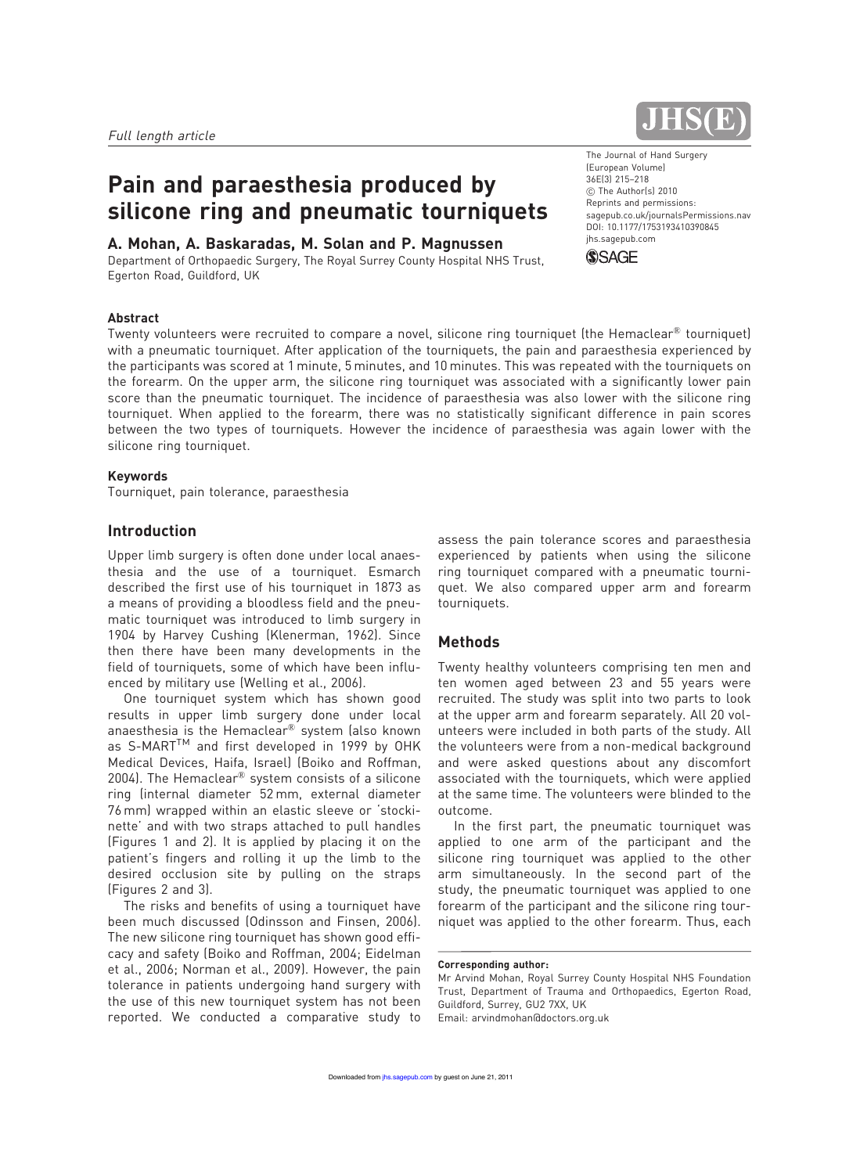# Pain and paraesthesia produced by silicone ring and pneumatic tourniquets

## A. Mohan, A. Baskaradas, M. Solan and P. Magnussen

Department of Orthopaedic Surgery, The Royal Surrey County Hospital NHS Trust, Egerton Road, Guildford, UK



The Journal of Hand Surgery (European Volume) 36E(3) 215–218 C The Author(s) 2010 Reprints and permissions: sagepub.co.uk/journalsPermissions.nav DOI: 10.1177/1753193410390845 jhs.sagepub.com



#### Abstract

Twenty volunteers were recruited to compare a novel, silicone ring tourniquet (the Hemaclear<sup>®</sup> tourniquet) with a pneumatic tourniquet. After application of the tourniquets, the pain and paraesthesia experienced by the participants was scored at 1 minute, 5 minutes, and 10 minutes. This was repeated with the tourniquets on the forearm. On the upper arm, the silicone ring tourniquet was associated with a significantly lower pain score than the pneumatic tourniquet. The incidence of paraesthesia was also lower with the silicone ring tourniquet. When applied to the forearm, there was no statistically significant difference in pain scores between the two types of tourniquets. However the incidence of paraesthesia was again lower with the silicone ring tourniquet.

### Keywords

Tourniquet, pain tolerance, paraesthesia

## **Introduction**

Upper limb surgery is often done under local anaesthesia and the use of a tourniquet. Esmarch described the first use of his tourniquet in 1873 as a means of providing a bloodless field and the pneumatic tourniquet was introduced to limb surgery in 1904 by Harvey Cushing (Klenerman, 1962). Since then there have been many developments in the field of tourniquets, some of which have been influenced by military use (Welling et al., 2006).

One tourniquet system which has shown good results in upper limb surgery done under local anaesthesia is the Hemaclear® system (also known as S-MART™ and first developed in 1999 by OHK Medical Devices, Haifa, Israel) (Boiko and Roffman, 2004). The Hemaclear<sup>®</sup> system consists of a silicone ring (internal diameter 52 mm, external diameter 76 mm) wrapped within an elastic sleeve or 'stockinette' and with two straps attached to pull handles (Figures 1 and 2). It is applied by placing it on the patient's fingers and rolling it up the limb to the desired occlusion site by pulling on the straps (Figures 2 and 3).

The risks and benefits of using a tourniquet have been much discussed (Odinsson and Finsen, 2006). The new silicone ring tourniquet has shown good efficacy and safety (Boiko and Roffman, 2004; Eidelman et al., 2006; Norman et al., 2009). However, the pain tolerance in patients undergoing hand surgery with the use of this new tourniquet system has not been reported. We conducted a comparative study to

assess the pain tolerance scores and paraesthesia experienced by patients when using the silicone ring tourniquet compared with a pneumatic tourniquet. We also compared upper arm and forearm tourniquets.

# Methods

Twenty healthy volunteers comprising ten men and ten women aged between 23 and 55 years were recruited. The study was split into two parts to look at the upper arm and forearm separately. All 20 volunteers were included in both parts of the study. All the volunteers were from a non-medical background and were asked questions about any discomfort associated with the tourniquets, which were applied at the same time. The volunteers were blinded to the outcome.

In the first part, the pneumatic tourniquet was applied to one arm of the participant and the silicone ring tourniquet was applied to the other arm simultaneously. In the second part of the study, the pneumatic tourniquet was applied to one forearm of the participant and the silicone ring tourniquet was applied to the other forearm. Thus, each

Corresponding author:

Mr Arvind Mohan, Royal Surrey County Hospital NHS Foundation Trust, Department of Trauma and Orthopaedics, Egerton Road, Guildford, Surrey, GU2 7XX, UK Email: arvindmohan@doctors.org.uk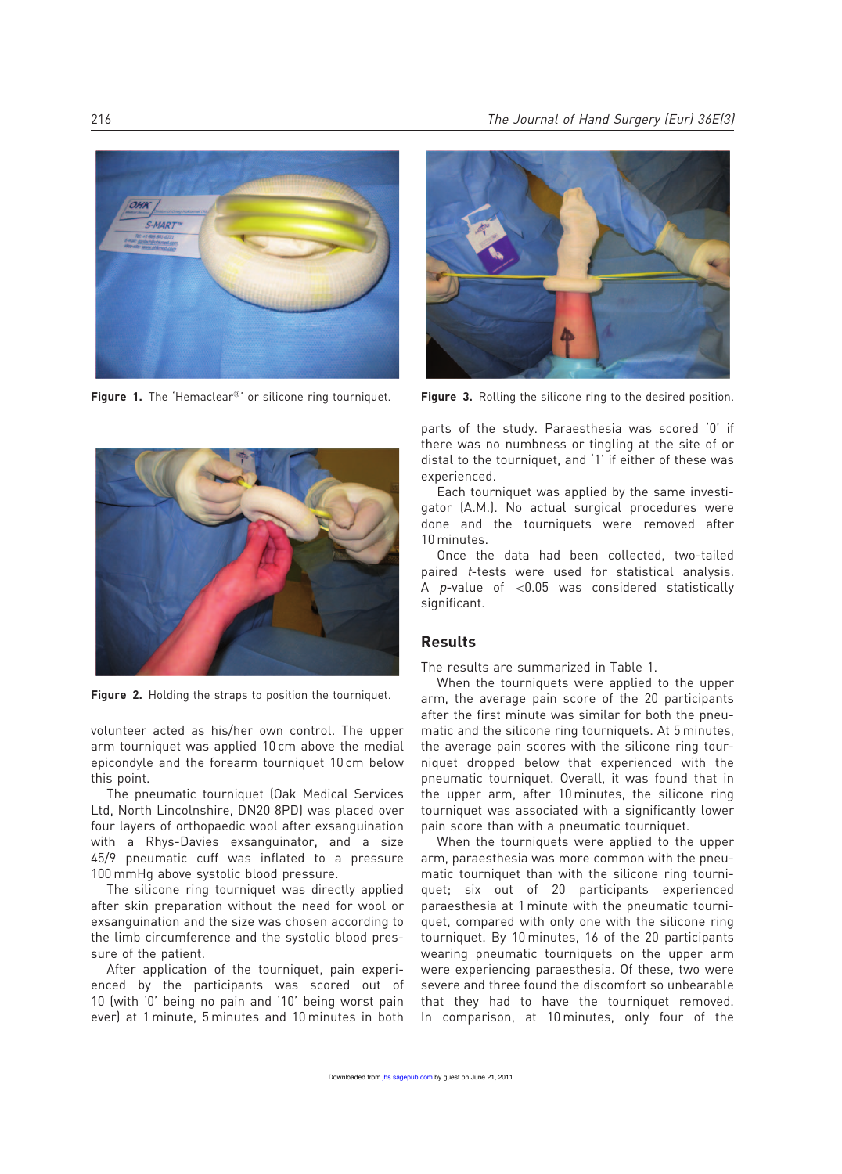

Figure 1. The 'Hemaclear®' or silicone ring tourniquet.



Figure 2. Holding the straps to position the tourniquet.

volunteer acted as his/her own control. The upper arm tourniquet was applied 10 cm above the medial epicondyle and the forearm tourniquet 10 cm below this point.

The pneumatic tourniquet (Oak Medical Services Ltd, North Lincolnshire, DN20 8PD) was placed over four layers of orthopaedic wool after exsanguination with a Rhys-Davies exsanguinator, and a size 45/9 pneumatic cuff was inflated to a pressure 100 mmHg above systolic blood pressure.

The silicone ring tourniquet was directly applied after skin preparation without the need for wool or exsanguination and the size was chosen according to the limb circumference and the systolic blood pressure of the patient.

After application of the tourniquet, pain experienced by the participants was scored out of 10 (with '0' being no pain and '10' being worst pain ever) at 1 minute, 5 minutes and 10 minutes in both



Figure 3. Rolling the silicone ring to the desired position.

parts of the study. Paraesthesia was scored '0' if there was no numbness or tingling at the site of or distal to the tourniquet, and '1' if either of these was experienced.

Each tourniquet was applied by the same investigator (A.M.). No actual surgical procedures were done and the tourniquets were removed after 10 minutes.

Once the data had been collected, two-tailed paired *t*-tests were used for statistical analysis. A  $p$ -value of <0.05 was considered statistically significant.

# Results

The results are summarized in Table 1.

When the tourniquets were applied to the upper arm, the average pain score of the 20 participants after the first minute was similar for both the pneumatic and the silicone ring tourniquets. At 5 minutes, the average pain scores with the silicone ring tourniquet dropped below that experienced with the pneumatic tourniquet. Overall, it was found that in the upper arm, after 10 minutes, the silicone ring tourniquet was associated with a significantly lower pain score than with a pneumatic tourniquet.

When the tourniquets were applied to the upper arm, paraesthesia was more common with the pneumatic tourniquet than with the silicone ring tourniquet; six out of 20 participants experienced paraesthesia at 1 minute with the pneumatic tourniquet, compared with only one with the silicone ring tourniquet. By 10 minutes, 16 of the 20 participants wearing pneumatic tourniquets on the upper arm were experiencing paraesthesia. Of these, two were severe and three found the discomfort so unbearable that they had to have the tourniquet removed. In comparison, at 10 minutes, only four of the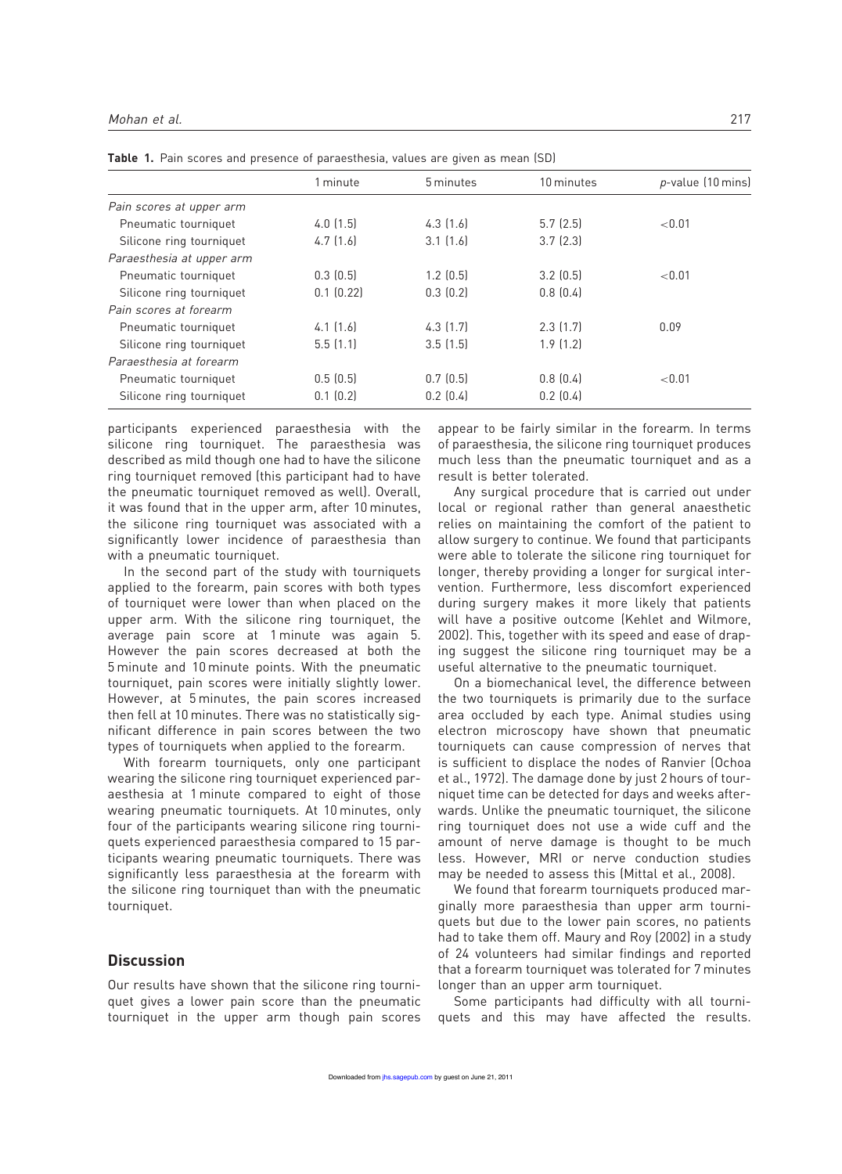|                           | 1 minute      | 5 minutes     | 10 minutes    | p-value (10 mins) |
|---------------------------|---------------|---------------|---------------|-------------------|
| Pain scores at upper arm  |               |               |               |                   |
| Pneumatic tourniquet      | 4.0(1.5)      | $4.3$ $(1.6)$ | 5.7(2.5)      | < 0.01            |
| Silicone ring tourniquet  | 4.7(1.6)      | $3.1$ $(1.6)$ | $3.7$ $(2.3)$ |                   |
| Paraesthesia at upper arm |               |               |               |                   |
| Pneumatic tourniquet      | 0.3(0.5)      | $1.2$ $(0.5)$ | $3.2$ $(0.5)$ | < 0.01            |
| Silicone ring tourniquet  | 0.1(0.22)     | 0.3(0.2)      | 0.8(0.4)      |                   |
| Pain scores at forearm    |               |               |               |                   |
| Pneumatic tourniquet      | $4.1$ $(1.6)$ | $4.3$ $(1.7)$ | $2.3$ (1.7)   | 0.09              |
| Silicone ring tourniquet  | 5.5(1.1)      | 3.5(1.5)      | $1.9$ $(1.2)$ |                   |
| Paraesthesia at forearm   |               |               |               |                   |
| Pneumatic tourniquet      | 0.5(0.5)      | 0.7(0.5)      | 0.8(0.4)      | ${<}0.01$         |
| Silicone ring tourniquet  | 0.1(0.2)      | 0.2(0.4)      | $0.2$ $(0.4)$ |                   |

Table 1. Pain scores and presence of paraesthesia, values are given as mean (SD)

participants experienced paraesthesia with the silicone ring tourniquet. The paraesthesia was described as mild though one had to have the silicone ring tourniquet removed (this participant had to have the pneumatic tourniquet removed as well). Overall, it was found that in the upper arm, after 10 minutes, the silicone ring tourniquet was associated with a significantly lower incidence of paraesthesia than with a pneumatic tourniquet.

In the second part of the study with tourniquets applied to the forearm, pain scores with both types of tourniquet were lower than when placed on the upper arm. With the silicone ring tourniquet, the average pain score at 1 minute was again 5. However the pain scores decreased at both the 5 minute and 10 minute points. With the pneumatic tourniquet, pain scores were initially slightly lower. However, at 5 minutes, the pain scores increased then fell at 10 minutes. There was no statistically significant difference in pain scores between the two types of tourniquets when applied to the forearm.

With forearm tourniquets, only one participant wearing the silicone ring tourniquet experienced paraesthesia at 1 minute compared to eight of those wearing pneumatic tourniquets. At 10 minutes, only four of the participants wearing silicone ring tourniquets experienced paraesthesia compared to 15 participants wearing pneumatic tourniquets. There was significantly less paraesthesia at the forearm with the silicone ring tourniquet than with the pneumatic tourniquet.

# **Discussion**

Our results have shown that the silicone ring tourniquet gives a lower pain score than the pneumatic tourniquet in the upper arm though pain scores

appear to be fairly similar in the forearm. In terms of paraesthesia, the silicone ring tourniquet produces much less than the pneumatic tourniquet and as a result is better tolerated.

Any surgical procedure that is carried out under local or regional rather than general anaesthetic relies on maintaining the comfort of the patient to allow surgery to continue. We found that participants were able to tolerate the silicone ring tourniquet for longer, thereby providing a longer for surgical intervention. Furthermore, less discomfort experienced during surgery makes it more likely that patients will have a positive outcome (Kehlet and Wilmore, 2002). This, together with its speed and ease of draping suggest the silicone ring tourniquet may be a useful alternative to the pneumatic tourniquet.

On a biomechanical level, the difference between the two tourniquets is primarily due to the surface area occluded by each type. Animal studies using electron microscopy have shown that pneumatic tourniquets can cause compression of nerves that is sufficient to displace the nodes of Ranvier (Ochoa et al., 1972). The damage done by just 2 hours of tourniquet time can be detected for days and weeks afterwards. Unlike the pneumatic tourniquet, the silicone ring tourniquet does not use a wide cuff and the amount of nerve damage is thought to be much less. However, MRI or nerve conduction studies may be needed to assess this (Mittal et al., 2008).

We found that forearm tourniquets produced marginally more paraesthesia than upper arm tourniquets but due to the lower pain scores, no patients had to take them off. Maury and Roy (2002) in a study of 24 volunteers had similar findings and reported that a forearm tourniquet was tolerated for 7 minutes longer than an upper arm tourniquet.

Some participants had difficulty with all tourniquets and this may have affected the results.